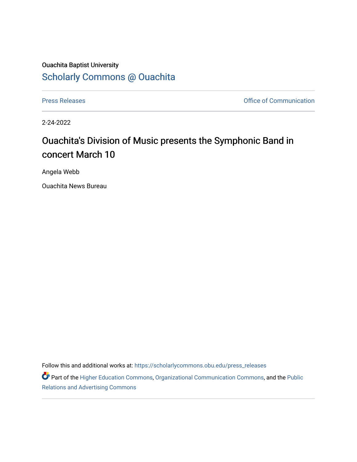## Ouachita Baptist University [Scholarly Commons @ Ouachita](https://scholarlycommons.obu.edu/)

[Press Releases](https://scholarlycommons.obu.edu/press_releases) **Press Releases Communication** 

2-24-2022

## Ouachita's Division of Music presents the Symphonic Band in concert March 10

Angela Webb

Ouachita News Bureau

Follow this and additional works at: [https://scholarlycommons.obu.edu/press\\_releases](https://scholarlycommons.obu.edu/press_releases?utm_source=scholarlycommons.obu.edu%2Fpress_releases%2F1061&utm_medium=PDF&utm_campaign=PDFCoverPages)

Part of the [Higher Education Commons,](http://network.bepress.com/hgg/discipline/1245?utm_source=scholarlycommons.obu.edu%2Fpress_releases%2F1061&utm_medium=PDF&utm_campaign=PDFCoverPages) [Organizational Communication Commons,](http://network.bepress.com/hgg/discipline/335?utm_source=scholarlycommons.obu.edu%2Fpress_releases%2F1061&utm_medium=PDF&utm_campaign=PDFCoverPages) and the [Public](http://network.bepress.com/hgg/discipline/336?utm_source=scholarlycommons.obu.edu%2Fpress_releases%2F1061&utm_medium=PDF&utm_campaign=PDFCoverPages) [Relations and Advertising Commons](http://network.bepress.com/hgg/discipline/336?utm_source=scholarlycommons.obu.edu%2Fpress_releases%2F1061&utm_medium=PDF&utm_campaign=PDFCoverPages)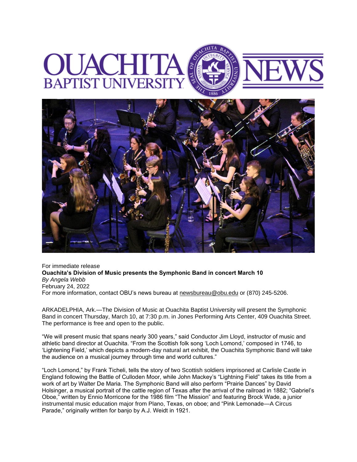## **BAPTIST**



For immediate release **Ouachita's Division of Music presents the Symphonic Band in concert March 10** *By Angela Webb* February 24, 2022 For more information, contact OBU's news bureau at [newsbureau@obu.edu](mailto:newsbureau@obu.edu) or (870) 245-5206.

ARKADELPHIA, Ark.—The Division of Music at Ouachita Baptist University will present the Symphonic Band in concert Thursday, March 10, at 7:30 p.m. in Jones Performing Arts Center, 409 Ouachita Street. The performance is free and open to the public.

"We will present music that spans nearly 300 years," said Conductor Jim Lloyd, instructor of music and athletic band director at Ouachita. "From the Scottish folk song 'Loch Lomond,' composed in 1746, to 'Lightening Field,' which depicts a modern-day natural art exhibit, the Ouachita Symphonic Band will take the audience on a musical journey through time and world cultures."

"Loch Lomond," by Frank Ticheli, tells the story of two Scottish soldiers imprisoned at Carlisle Castle in England following the Battle of Culloden Moor, while John Mackey's "Lightning Field" takes its title from a work of art by Walter De Maria. The Symphonic Band will also perform "Prairie Dances" by David Holsinger, a musical portrait of the cattle region of Texas after the arrival of the railroad in 1882; "Gabriel's Oboe," written by Ennio Morricone for the 1986 film "The Mission" and featuring Brock Wade, a junior instrumental music education major from Plano, Texas, on oboe; and "Pink Lemonade—A Circus Parade," originally written for banjo by A.J. Weidt in 1921.